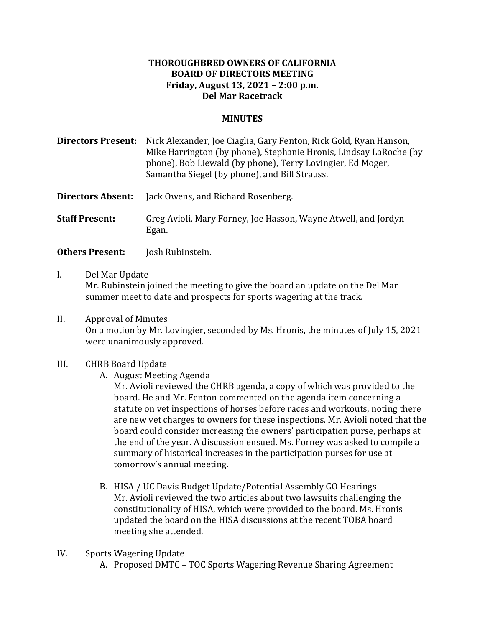## **THOROUGHBRED OWNERS OF CALIFORNIA BOARD OF DIRECTORS MEETING Friday, August 13, 2021 – 2:00 p.m. Del Mar Racetrack**

#### **MINUTES**

- **Directors Present:** Nick Alexander, Joe Ciaglia, Gary Fenton, Rick Gold, Ryan Hanson, Mike Harrington (by phone), Stephanie Hronis, Lindsay LaRoche (by phone), Bob Liewald (by phone), Terry Lovingier, Ed Moger, Samantha Siegel (by phone), and Bill Strauss.
- **Directors Absent:** Jack Owens, and Richard Rosenberg.
- **Staff Present:** Greg Avioli, Mary Forney, Joe Hasson, Wayne Atwell, and Jordyn Egan.
- **Others Present:** Josh Rubinstein.
- I. Del Mar Update Mr. Rubinstein joined the meeting to give the board an update on the Del Mar summer meet to date and prospects for sports wagering at the track.
- II. Approval of Minutes On a motion by Mr. Lovingier, seconded by Ms. Hronis, the minutes of July 15, 2021 were unanimously approved.

#### III. CHRB Board Update

A. August Meeting Agenda

Mr. Avioli reviewed the CHRB agenda, a copy of which was provided to the board. He and Mr. Fenton commented on the agenda item concerning a statute on vet inspections of horses before races and workouts, noting there are new vet charges to owners for these inspections. Mr. Avioli noted that the board could consider increasing the owners' participation purse, perhaps at the end of the year. A discussion ensued. Ms. Forney was asked to compile a summary of historical increases in the participation purses for use at tomorrow's annual meeting.

- B. HISA / UC Davis Budget Update/Potential Assembly GO Hearings Mr. Avioli reviewed the two articles about two lawsuits challenging the constitutionality of HISA, which were provided to the board. Ms. Hronis updated the board on the HISA discussions at the recent TOBA board meeting she attended.
- IV. Sports Wagering Update
	- A. Proposed DMTC TOC Sports Wagering Revenue Sharing Agreement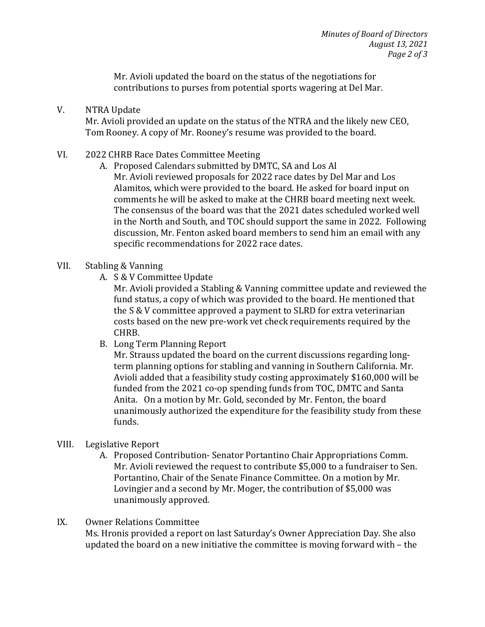Mr. Avioli updated the board on the status of the negotiations for contributions to purses from potential sports wagering at Del Mar.

V. NTRA Update

Mr. Avioli provided an update on the status of the NTRA and the likely new CEO, Tom Rooney. A copy of Mr. Rooney's resume was provided to the board.

- VI. 2022 CHRB Race Dates Committee Meeting
	- A. Proposed Calendars submitted by DMTC, SA and Los Al Mr. Avioli reviewed proposals for 2022 race dates by Del Mar and Los Alamitos, which were provided to the board. He asked for board input on comments he will be asked to make at the CHRB board meeting next week. The consensus of the board was that the 2021 dates scheduled worked well in the North and South, and TOC should support the same in 2022. Following discussion, Mr. Fenton asked board members to send him an email with any specific recommendations for 2022 race dates.
- VII. Stabling & Vanning
	- A. S & V Committee Update

Mr. Avioli provided a Stabling & Vanning committee update and reviewed the fund status, a copy of which was provided to the board. He mentioned that the  $S & V$  committee approved a payment to SLRD for extra veterinarian costs based on the new pre-work vet check requirements required by the CHRB.

B. Long Term Planning Report

Mr. Strauss updated the board on the current discussions regarding longterm planning options for stabling and vanning in Southern California. Mr. Avioli added that a feasibility study costing approximately \$160,000 will be funded from the 2021 co-op spending funds from TOC, DMTC and Santa Anita. On a motion by Mr. Gold, seconded by Mr. Fenton, the board unanimously authorized the expenditure for the feasibility study from these funds.

- VIII. Legislative Report
	- A. Proposed Contribution- Senator Portantino Chair Appropriations Comm. Mr. Avioli reviewed the request to contribute \$5,000 to a fundraiser to Sen. Portantino, Chair of the Senate Finance Committee. On a motion by Mr. Lovingier and a second by Mr. Moger, the contribution of \$5,000 was unanimously approved.
- IX. Owner Relations Committee

Ms. Hronis provided a report on last Saturday's Owner Appreciation Day. She also updated the board on a new initiative the committee is moving forward with  $-$  the